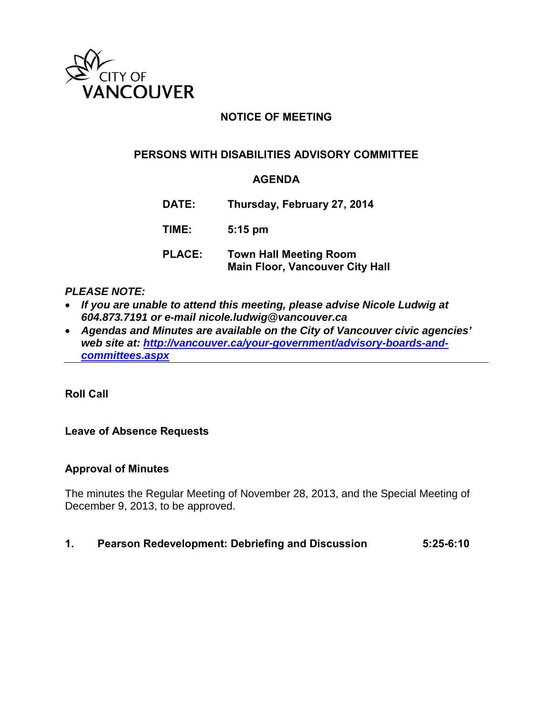

## **NOTICE OF MEETING**

## **PERSONS WITH DISABILITIES ADVISORY COMMITTEE**

### **AGENDA**

**DATE: Thursday, February 27, 2014**

**TIME: 5:15 pm**

**PLACE: Town Hall Meeting Room Main Floor, Vancouver City Hall**

#### *PLEASE NOTE:*

- *If you are unable to attend this meeting, please advise Nicole Ludwig at 604.873.7191 or e-mail nicole.ludwig@vancouver.ca*
- *Agendas and Minutes are available on the City of Vancouver civic agencies' web site at: [http://vancouver.ca/your-government/advisory-boards-and](http://vancouver.ca/your-government/advisory-boards-and-committees.aspx)[committees.aspx](http://vancouver.ca/your-government/advisory-boards-and-committees.aspx)*

**Roll Call**

### **Leave of Absence Requests**

#### **Approval of Minutes**

The minutes the Regular Meeting of November 28, 2013, and the Special Meeting of December 9, 2013, to be approved.

#### **1. Pearson Redevelopment: Debriefing and Discussion 5:25-6:10**